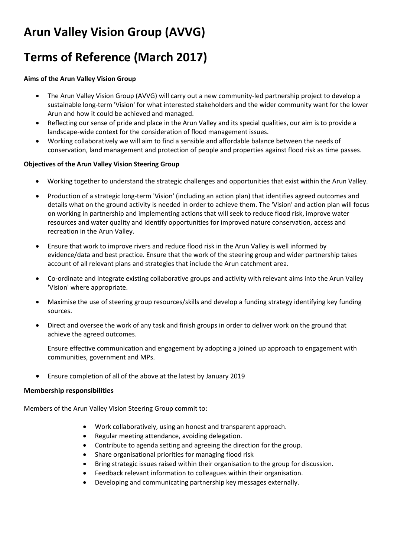# **Arun Valley Vision Group (AVVG)**

## **Terms of Reference (March 2017)**

## **Aims of the Arun Valley Vision Group**

- The Arun Valley Vision Group (AVVG) will carry out a new community-led partnership project to develop a sustainable long-term 'Vision' for what interested stakeholders and the wider community want for the lower Arun and how it could be achieved and managed.
- Reflecting our sense of pride and place in the Arun Valley and its special qualities, our aim is to provide a landscape-wide context for the consideration of flood management issues.
- Working collaboratively we will aim to find a sensible and affordable balance between the needs of conservation, land management and protection of people and properties against flood risk as time passes.

## **Objectives of the Arun Valley Vision Steering Group**

- Working together to understand the strategic challenges and opportunities that exist within the Arun Valley.
- Production of a strategic long-term 'Vision' (including an action plan) that identifies agreed outcomes and details what on the ground activity is needed in order to achieve them. The 'Vision' and action plan will focus on working in partnership and implementing actions that will seek to reduce flood risk, improve water resources and water quality and identify opportunities for improved nature conservation, access and recreation in the Arun Valley.
- Ensure that work to improve rivers and reduce flood risk in the Arun Valley is well informed by evidence/data and best practice. Ensure that the work of the steering group and wider partnership takes account of all relevant plans and strategies that include the Arun catchment area.
- Co-ordinate and integrate existing collaborative groups and activity with relevant aims into the Arun Valley 'Vision' where appropriate.
- Maximise the use of steering group resources/skills and develop a funding strategy identifying key funding sources.
- Direct and oversee the work of any task and finish groups in order to deliver work on the ground that achieve the agreed outcomes.

Ensure effective communication and engagement by adopting a joined up approach to engagement with communities, government and MPs.

Ensure completion of all of the above at the latest by January 2019

### **Membership responsibilities**

Members of the Arun Valley Vision Steering Group commit to:

- Work collaboratively, using an honest and transparent approach.
- Regular meeting attendance, avoiding delegation.
- Contribute to agenda setting and agreeing the direction for the group.
- Share organisational priorities for managing flood risk
- Bring strategic issues raised within their organisation to the group for discussion.
- Feedback relevant information to colleagues within their organisation.
- Developing and communicating partnership key messages externally.